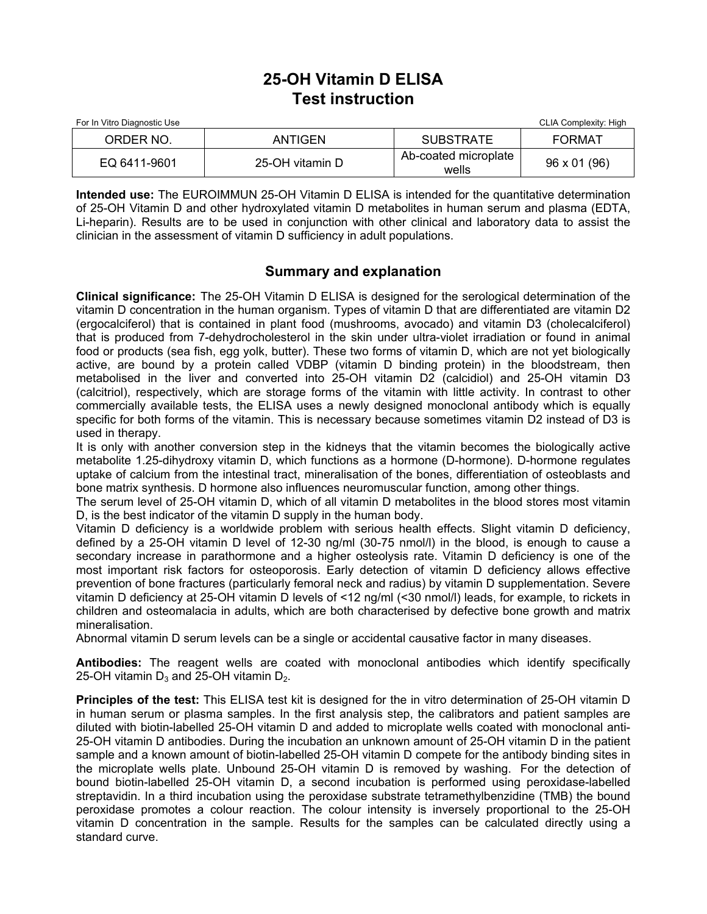## **25-OH Vitamin D ELISA Test instruction**

| For In Vitro Diagnostic Use |                 |                               | CLIA Complexity: High |
|-----------------------------|-----------------|-------------------------------|-----------------------|
| ORDER NO.                   | ANTIGEN         | <b>SUBSTRATE</b>              | FORMAT                |
| EQ 6411-9601                | 25-OH vitamin D | Ab-coated microplate<br>wells | 96 x 01 (96)          |

**Intended use:** The EUROIMMUN 25-OH Vitamin D ELISA is intended for the quantitative determination of 25-OH Vitamin D and other hydroxylated vitamin D metabolites in human serum and plasma (EDTA, Li-heparin). Results are to be used in conjunction with other clinical and laboratory data to assist the clinician in the assessment of vitamin D sufficiency in adult populations.

## **Summary and explanation**

**Clinical significance:** The 25-OH Vitamin D ELISA is designed for the serological determination of the vitamin D concentration in the human organism. Types of vitamin D that are differentiated are vitamin D2 (ergocalciferol) that is contained in plant food (mushrooms, avocado) and vitamin D3 (cholecalciferol) that is produced from 7-dehydrocholesterol in the skin under ultra-violet irradiation or found in animal food or products (sea fish, egg yolk, butter). These two forms of vitamin D, which are not yet biologically active, are bound by a protein called VDBP (vitamin D binding protein) in the bloodstream, then metabolised in the liver and converted into 25-OH vitamin D2 (calcidiol) and 25-OH vitamin D3 (calcitriol), respectively, which are storage forms of the vitamin with little activity. In contrast to other commercially available tests, the ELISA uses a newly designed monoclonal antibody which is equally specific for both forms of the vitamin. This is necessary because sometimes vitamin D2 instead of D3 is used in therapy.

It is only with another conversion step in the kidneys that the vitamin becomes the biologically active metabolite 1.25-dihydroxy vitamin D, which functions as a hormone (D-hormone). D-hormone regulates uptake of calcium from the intestinal tract, mineralisation of the bones, differentiation of osteoblasts and bone matrix synthesis. D hormone also influences neuromuscular function, among other things.

The serum level of 25-OH vitamin D, which of all vitamin D metabolites in the blood stores most vitamin D, is the best indicator of the vitamin D supply in the human body.

Vitamin D deficiency is a worldwide problem with serious health effects. Slight vitamin D deficiency, defined by a 25-OH vitamin D level of 12-30 ng/ml (30-75 nmol/l) in the blood, is enough to cause a secondary increase in parathormone and a higher osteolysis rate. Vitamin D deficiency is one of the most important risk factors for osteoporosis. Early detection of vitamin D deficiency allows effective prevention of bone fractures (particularly femoral neck and radius) by vitamin D supplementation. Severe vitamin D deficiency at 25-OH vitamin D levels of <12 ng/ml (<30 nmol/l) leads, for example, to rickets in children and osteomalacia in adults, which are both characterised by defective bone growth and matrix mineralisation.

Abnormal vitamin D serum levels can be a single or accidental causative factor in many diseases.

**Antibodies:** The reagent wells are coated with monoclonal antibodies which identify specifically 25-OH vitamin  $D_3$  and 25-OH vitamin  $D_2$ .

**Principles of the test:** This ELISA test kit is designed for the in vitro determination of 25-OH vitamin D in human serum or plasma samples. In the first analysis step, the calibrators and patient samples are diluted with biotin-labelled 25-OH vitamin D and added to microplate wells coated with monoclonal anti-25-OH vitamin D antibodies. During the incubation an unknown amount of 25-OH vitamin D in the patient sample and a known amount of biotin-labelled 25-OH vitamin D compete for the antibody binding sites in the microplate wells plate. Unbound 25-OH vitamin D is removed by washing. For the detection of bound biotin-labelled 25-OH vitamin D, a second incubation is performed using peroxidase-labelled streptavidin. In a third incubation using the peroxidase substrate tetramethylbenzidine (TMB) the bound peroxidase promotes a colour reaction. The colour intensity is inversely proportional to the 25-OH vitamin D concentration in the sample. Results for the samples can be calculated directly using a standard curve.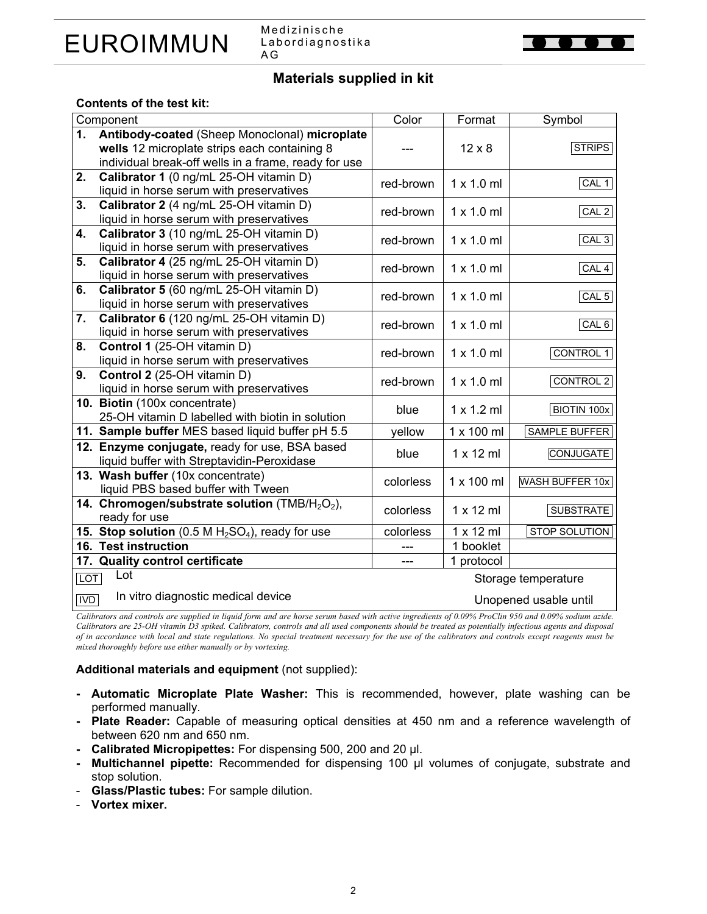

Medizinische Labordiagnostika A G



## **Materials supplied in kit**

#### **Contents of the test kit:**

|            | Component                                                               | Color     | Format            | Symbol                 |  |
|------------|-------------------------------------------------------------------------|-----------|-------------------|------------------------|--|
| 1.         | Antibody-coated (Sheep Monoclonal) microplate                           |           |                   |                        |  |
|            | wells 12 microplate strips each containing 8                            |           | $12 \times 8$     | <b>STRIPS</b>          |  |
|            | individual break-off wells in a frame, ready for use                    |           |                   |                        |  |
| 2.         | Calibrator 1 (0 ng/mL 25-OH vitamin D)                                  | red-brown | $1 \times 1.0$ ml | CAL <sub>1</sub>       |  |
|            | liquid in horse serum with preservatives                                |           |                   |                        |  |
| 3.         | Calibrator 2 (4 ng/mL 25-OH vitamin D)                                  | red-brown | $1 \times 1.0$ ml | CAL <sub>2</sub>       |  |
|            | liquid in horse serum with preservatives                                |           |                   |                        |  |
| 4.         | Calibrator 3 (10 ng/mL 25-OH vitamin D)                                 | red-brown | $1 \times 1.0$ ml | CAL3                   |  |
|            | liquid in horse serum with preservatives                                |           |                   |                        |  |
| 5.         | Calibrator 4 (25 ng/mL 25-OH vitamin D)                                 | red-brown | $1 \times 1.0$ ml | CAL <sub>4</sub>       |  |
|            | liquid in horse serum with preservatives                                |           |                   |                        |  |
| 6.         | Calibrator 5 (60 ng/mL 25-OH vitamin D)                                 | red-brown | $1 \times 1.0$ ml | CAL <sub>5</sub>       |  |
|            | liquid in horse serum with preservatives                                |           |                   |                        |  |
| 7.         | Calibrator 6 (120 ng/mL 25-OH vitamin D)                                | red-brown | $1 \times 1.0$ ml | CAL <sub>6</sub>       |  |
| 8.         | liquid in horse serum with preservatives<br>Control 1 (25-OH vitamin D) |           |                   |                        |  |
|            | liquid in horse serum with preservatives                                | red-brown | $1 \times 1.0$ ml | <b>CONTROL 1</b>       |  |
| 9.         | Control 2 (25-OH vitamin D)                                             |           |                   |                        |  |
|            | liquid in horse serum with preservatives                                | red-brown | $1 \times 1.0$ ml | <b>CONTROL 2</b>       |  |
|            | 10. Biotin (100x concentrate)                                           |           |                   |                        |  |
|            | 25-OH vitamin D labelled with biotin in solution                        | blue      | $1 \times 1.2$ ml | <b>BIOTIN 100x</b>     |  |
|            | 11. Sample buffer MES based liquid buffer pH 5.5                        | yellow    | 1 x 100 ml        | SAMPLE BUFFER          |  |
|            | 12. Enzyme conjugate, ready for use, BSA based                          |           |                   |                        |  |
|            | liquid buffer with Streptavidin-Peroxidase                              | blue      | $1 \times 12$ ml  | <b>CONJUGATE</b>       |  |
|            | 13. Wash buffer (10x concentrate)                                       | colorless | 1 x 100 ml        | <b>WASH BUFFER 10x</b> |  |
|            | liquid PBS based buffer with Tween                                      |           |                   |                        |  |
|            | 14. Chromogen/substrate solution (TMB/H <sub>2</sub> O <sub>2</sub> ),  | colorless | $1 \times 12$ ml  | <b>SUBSTRATE</b>       |  |
|            | ready for use                                                           |           |                   |                        |  |
|            | 15. Stop solution $(0.5 M H2SO4)$ , ready for use                       | colorless | $1 \times 12$ ml  | STOP SOLUTION          |  |
|            | 16. Test instruction                                                    |           | 1 booklet         |                        |  |
|            | 17. Quality control certificate                                         |           | 1 protocol        |                        |  |
| <b>LOT</b> | Lot                                                                     |           |                   | Storage temperature    |  |
| <b>IVD</b> | In vitro diagnostic medical device                                      |           |                   | Unopened usable until  |  |
|            |                                                                         |           |                   |                        |  |

*Calibrators and controls are supplied in liquid form and are horse serum based with active ingredients of 0.09% ProClin 950 and 0.09% sodium azide. Calibrators are 25-OH vitamin D3 spiked. Calibrators, controls and all used components should be treated as potentially infectious agents and disposal of in accordance with local and state regulations. No special treatment necessary for the use of the calibrators and controls except reagents must be mixed thoroughly before use either manually or by vortexing.* 

#### **Additional materials and equipment** (not supplied):

- **Automatic Microplate Plate Washer:** This is recommended, however, plate washing can be performed manually.
- **Plate Reader:** Capable of measuring optical densities at 450 nm and a reference wavelength of between 620 nm and 650 nm.
- **Calibrated Micropipettes:** For dispensing 500, 200 and 20 µl.
- **Multichannel pipette:** Recommended for dispensing 100 µl volumes of conjugate, substrate and stop solution.
- **Glass/Plastic tubes:** For sample dilution.
- **Vortex mixer.**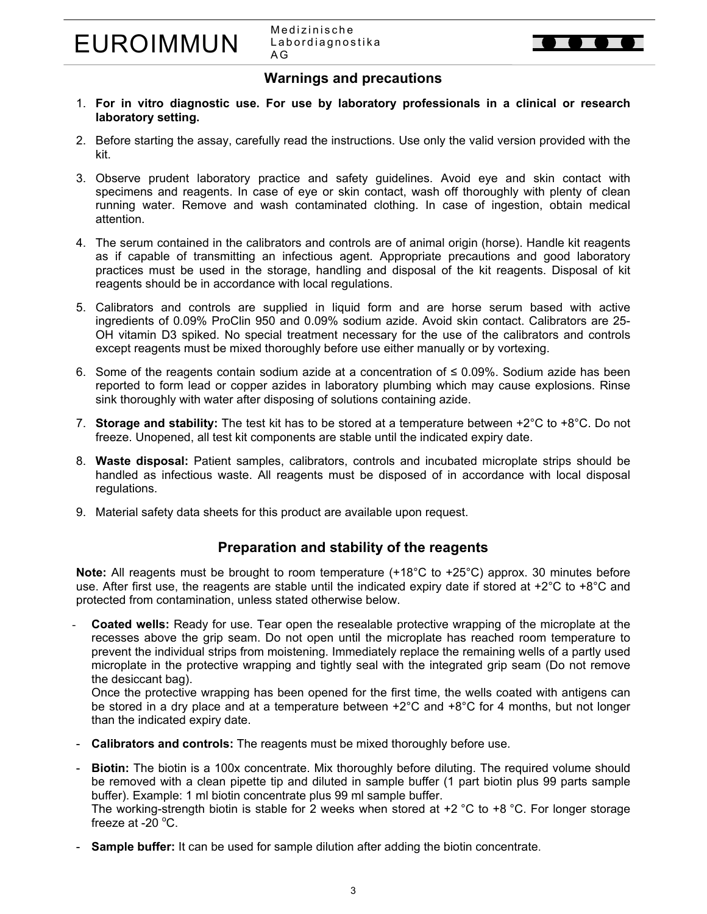Medizinische Labordiagnostika A G



## **Warnings and precautions**

- 1. **For in vitro diagnostic use. For use by laboratory professionals in a clinical or research laboratory setting.**
- 2. Before starting the assay, carefully read the instructions. Use only the valid version provided with the kit.
- 3. Observe prudent laboratory practice and safety guidelines. Avoid eye and skin contact with specimens and reagents. In case of eye or skin contact, wash off thoroughly with plenty of clean running water. Remove and wash contaminated clothing. In case of ingestion, obtain medical attention.
- 4. The serum contained in the calibrators and controls are of animal origin (horse). Handle kit reagents as if capable of transmitting an infectious agent. Appropriate precautions and good laboratory practices must be used in the storage, handling and disposal of the kit reagents. Disposal of kit reagents should be in accordance with local regulations.
- 5. Calibrators and controls are supplied in liquid form and are horse serum based with active ingredients of 0.09% ProClin 950 and 0.09% sodium azide. Avoid skin contact. Calibrators are 25- OH vitamin D3 spiked. No special treatment necessary for the use of the calibrators and controls except reagents must be mixed thoroughly before use either manually or by vortexing.
- 6. Some of the reagents contain sodium azide at a concentration of ≤ 0.09%. Sodium azide has been reported to form lead or copper azides in laboratory plumbing which may cause explosions. Rinse sink thoroughly with water after disposing of solutions containing azide.
- 7. **Storage and stability:** The test kit has to be stored at a temperature between +2°C to +8°C. Do not freeze. Unopened, all test kit components are stable until the indicated expiry date.
- 8. **Waste disposal:** Patient samples, calibrators, controls and incubated microplate strips should be handled as infectious waste. All reagents must be disposed of in accordance with local disposal regulations.
- 9. Material safety data sheets for this product are available upon request.

## **Preparation and stability of the reagents**

**Note:** All reagents must be brought to room temperature (+18°C to +25°C) approx. 30 minutes before use. After first use, the reagents are stable until the indicated expiry date if stored at +2°C to +8°C and protected from contamination, unless stated otherwise below.

- **Coated wells:** Ready for use. Tear open the resealable protective wrapping of the microplate at the recesses above the grip seam. Do not open until the microplate has reached room temperature to prevent the individual strips from moistening. Immediately replace the remaining wells of a partly used microplate in the protective wrapping and tightly seal with the integrated grip seam (Do not remove the desiccant bag).

Once the protective wrapping has been opened for the first time, the wells coated with antigens can be stored in a dry place and at a temperature between +2°C and +8°C for 4 months, but not longer than the indicated expiry date.

- **Calibrators and controls:** The reagents must be mixed thoroughly before use.
- **Biotin:** The biotin is a 100x concentrate. Mix thoroughly before diluting. The required volume should be removed with a clean pipette tip and diluted in sample buffer (1 part biotin plus 99 parts sample buffer). Example: 1 ml biotin concentrate plus 99 ml sample buffer. The working-strength biotin is stable for 2 weeks when stored at  $+2$  °C to  $+8$  °C. For longer storage freeze at -20 $\degree$ C.
- - **Sample buffer:** It can be used for sample dilution after adding the biotin concentrate.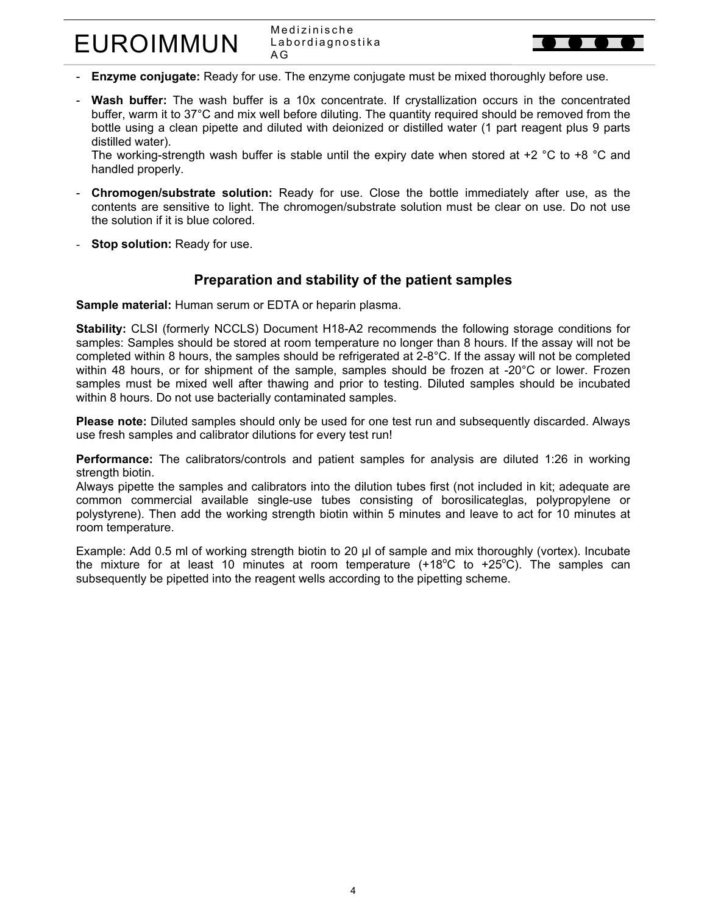Medizinische Labordiagnostika A G

- **Enzyme conjugate:** Ready for use. The enzyme conjugate must be mixed thoroughly before use.
- Wash buffer: The wash buffer is a 10x concentrate. If crystallization occurs in the concentrated buffer, warm it to 37°C and mix well before diluting. The quantity required should be removed from the bottle using a clean pipette and diluted with deionized or distilled water (1 part reagent plus 9 parts distilled water).

The working-strength wash buffer is stable until the expiry date when stored at +2  $\degree$ C to +8  $\degree$ C and handled properly.

- **Chromogen/substrate solution:** Ready for use. Close the bottle immediately after use, as the contents are sensitive to light. The chromogen/substrate solution must be clear on use. Do not use the solution if it is blue colored.
- **Stop solution: Ready for use.**

## **Preparation and stability of the patient samples**

**Sample material:** Human serum or EDTA or heparin plasma.

**Stability:** CLSI (formerly NCCLS) Document H18-A2 recommends the following storage conditions for samples: Samples should be stored at room temperature no longer than 8 hours. If the assay will not be completed within 8 hours, the samples should be refrigerated at 2-8°C. If the assay will not be completed within 48 hours, or for shipment of the sample, samples should be frozen at -20°C or lower. Frozen samples must be mixed well after thawing and prior to testing. Diluted samples should be incubated within 8 hours. Do not use bacterially contaminated samples.

**Please note:** Diluted samples should only be used for one test run and subsequently discarded. Always use fresh samples and calibrator dilutions for every test run!

**Performance:** The calibrators/controls and patient samples for analysis are diluted 1:26 in working strength biotin.

Always pipette the samples and calibrators into the dilution tubes first (not included in kit; adequate are common commercial available single-use tubes consisting of borosilicateglas, polypropylene or polystyrene). Then add the working strength biotin within 5 minutes and leave to act for 10 minutes at room temperature.

Example: Add 0.5 ml of working strength biotin to 20 µl of sample and mix thoroughly (vortex). Incubate the mixture for at least 10 minutes at room temperature  $(+18^{\circ}C$  to  $+25^{\circ}C)$ . The samples can subsequently be pipetted into the reagent wells according to the pipetting scheme.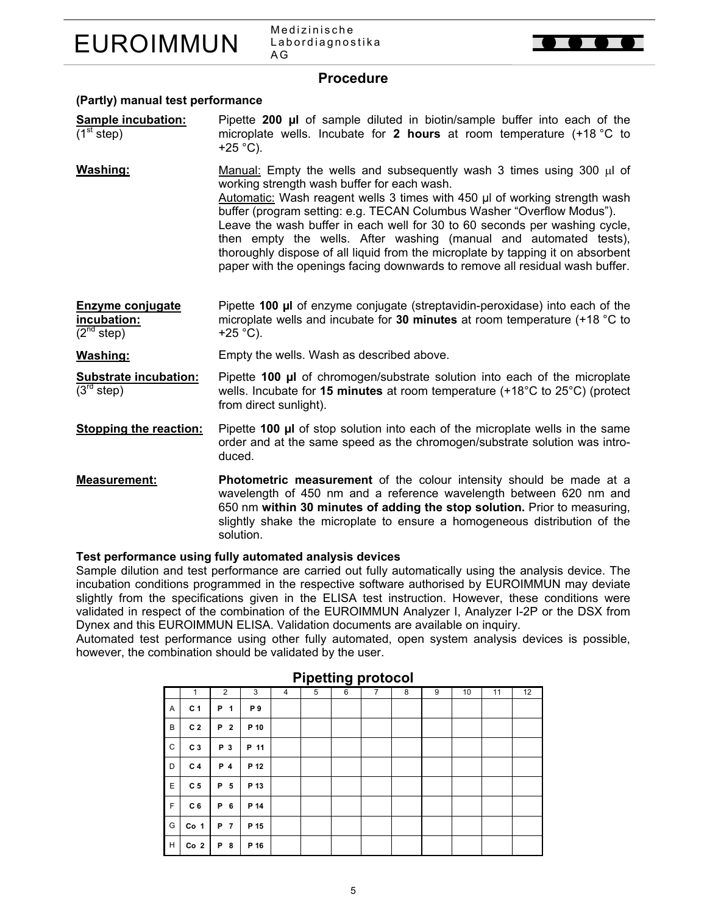

Medizinische Labordiagnostika A G



### **Procedure**

#### **(Partly) manual test performance**

- **Sample incubation:**   $(1<sup>st</sup> step)$ Pipette **200 µl** of sample diluted in biotin/sample buffer into each of the microplate wells. Incubate for **2 hours** at room temperature (+18 °C to  $+25$  °C).
- **Washing:** Manual: Empty the wells and subsequently wash 3 times using 300 µl of working strength wash buffer for each wash. Automatic: Wash reagent wells 3 times with 450 µl of working strength wash buffer (program setting: e.g. TECAN Columbus Washer "Overflow Modus"). Leave the wash buffer in each well for 30 to 60 seconds per washing cycle, then empty the wells. After washing (manual and automated tests), thoroughly dispose of all liquid from the microplate by tapping it on absorbent paper with the openings facing downwards to remove all residual wash buffer.
- **Enzyme conjugate incubation:**   $(2^{nd}$  step) Pipette **100 µl** of enzyme conjugate (streptavidin-peroxidase) into each of the microplate wells and incubate for **30 minutes** at room temperature (+18 °C to  $+25$  °C).

**Washing:** Empty the wells. Wash as described above.

- **Substrate incubation:**   $(3<sup>rd</sup> step)$ Pipette **100 µl** of chromogen/substrate solution into each of the microplate wells. Incubate for **15 minutes** at room temperature (+18°C to 25°C) (protect from direct sunlight).
- **Stopping the reaction:** Pipette **100 µl** of stop solution into each of the microplate wells in the same order and at the same speed as the chromogen/substrate solution was introduced.
- **Measurement: Photometric measurement** of the colour intensity should be made at a wavelength of 450 nm and a reference wavelength between 620 nm and 650 nm **within 30 minutes of adding the stop solution.** Prior to measuring, slightly shake the microplate to ensure a homogeneous distribution of the solution.

#### **Test performance using fully automated analysis devices**

Sample dilution and test performance are carried out fully automatically using the analysis device. The incubation conditions programmed in the respective software authorised by EUROIMMUN may deviate slightly from the specifications given in the ELISA test instruction. However, these conditions were validated in respect of the combination of the EUROIMMUN Analyzer I, Analyzer I-2P or the DSX from Dynex and this EUROIMMUN ELISA. Validation documents are available on inquiry.

Automated test performance using other fully automated, open system analysis devices is possible, however, the combination should be validated by the user.

|   |                 |                |      |                | $-$ | v r |                |   |   |    |    |    |
|---|-----------------|----------------|------|----------------|-----|-----|----------------|---|---|----|----|----|
|   | $\mathbf{1}$    | $\overline{2}$ | 3    | $\overline{4}$ | 5   | 6   | $\overline{7}$ | 8 | 9 | 10 | 11 | 12 |
| Α | C <sub>1</sub>  | P<br>1         | P9   |                |     |     |                |   |   |    |    |    |
| B | C <sub>2</sub>  | P 2            | P 10 |                |     |     |                |   |   |    |    |    |
| C | C <sub>3</sub>  | P 3            | P 11 |                |     |     |                |   |   |    |    |    |
| D | C 4             | P 4            | P 12 |                |     |     |                |   |   |    |    |    |
| E | C <sub>5</sub>  | P 5            | P 13 |                |     |     |                |   |   |    |    |    |
| F | C <sub>6</sub>  | P 6            | P 14 |                |     |     |                |   |   |    |    |    |
| G | Co <sub>1</sub> | P 7            | P 15 |                |     |     |                |   |   |    |    |    |
| н | Co <sub>2</sub> | P 8            | P 16 |                |     |     |                |   |   |    |    |    |

#### **Pipetting protocol**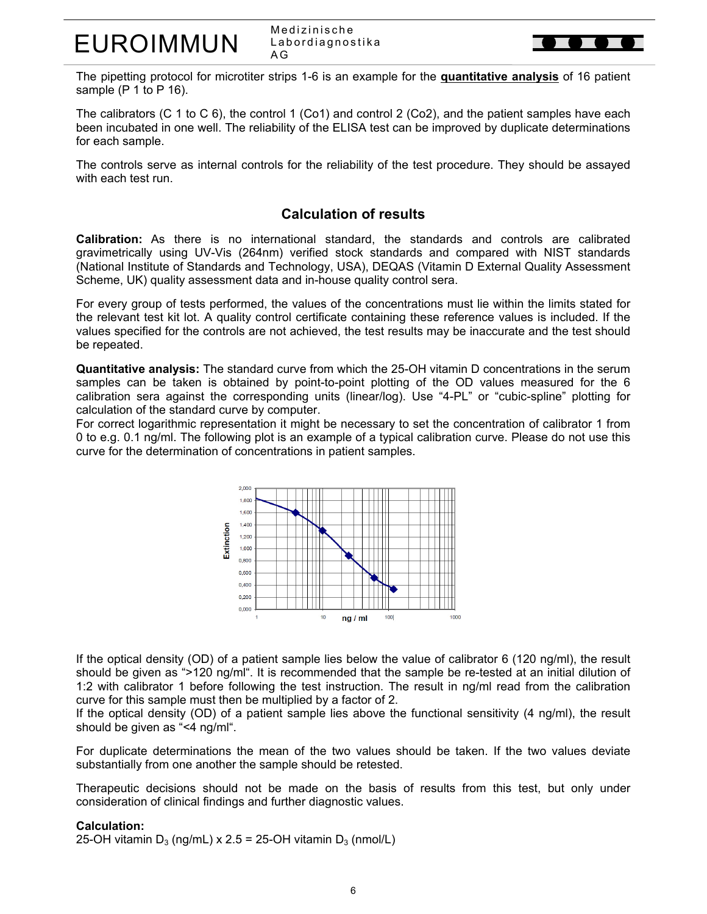Medizinische Labordiagnostika A G

The pipetting protocol for microtiter strips 1-6 is an example for the **quantitative analysis** of 16 patient sample (P 1 to P 16).

The calibrators (C 1 to C 6), the control 1 (Co1) and control 2 (Co2), and the patient samples have each been incubated in one well. The reliability of the ELISA test can be improved by duplicate determinations for each sample.

The controls serve as internal controls for the reliability of the test procedure. They should be assayed with each test run.

## **Calculation of results**

**Calibration:** As there is no international standard, the standards and controls are calibrated gravimetrically using UV-Vis (264nm) verified stock standards and compared with NIST standards (National Institute of Standards and Technology, USA), DEQAS (Vitamin D External Quality Assessment Scheme, UK) quality assessment data and in-house quality control sera.

For every group of tests performed, the values of the concentrations must lie within the limits stated for the relevant test kit lot. A quality control certificate containing these reference values is included. If the values specified for the controls are not achieved, the test results may be inaccurate and the test should be repeated.

**Quantitative analysis:** The standard curve from which the 25-OH vitamin D concentrations in the serum samples can be taken is obtained by point-to-point plotting of the OD values measured for the 6 calibration sera against the corresponding units (linear/log). Use "4-PL" or "cubic-spline" plotting for calculation of the standard curve by computer.

For correct logarithmic representation it might be necessary to set the concentration of calibrator 1 from 0 to e.g. 0.1 ng/ml. The following plot is an example of a typical calibration curve. Please do not use this curve for the determination of concentrations in patient samples.



If the optical density (OD) of a patient sample lies below the value of calibrator 6 (120 ng/ml), the result should be given as ">120 ng/ml". It is recommended that the sample be re-tested at an initial dilution of 1:2 with calibrator 1 before following the test instruction. The result in ng/ml read from the calibration curve for this sample must then be multiplied by a factor of 2.

If the optical density (OD) of a patient sample lies above the functional sensitivity (4 ng/ml), the result should be given as "<4 ng/ml".

For duplicate determinations the mean of the two values should be taken. If the two values deviate substantially from one another the sample should be retested.

Therapeutic decisions should not be made on the basis of results from this test, but only under consideration of clinical findings and further diagnostic values.

#### **Calculation:**

25-OH vitamin  $D_3$  (ng/mL) x 2.5 = 25-OH vitamin  $D_3$  (nmol/L)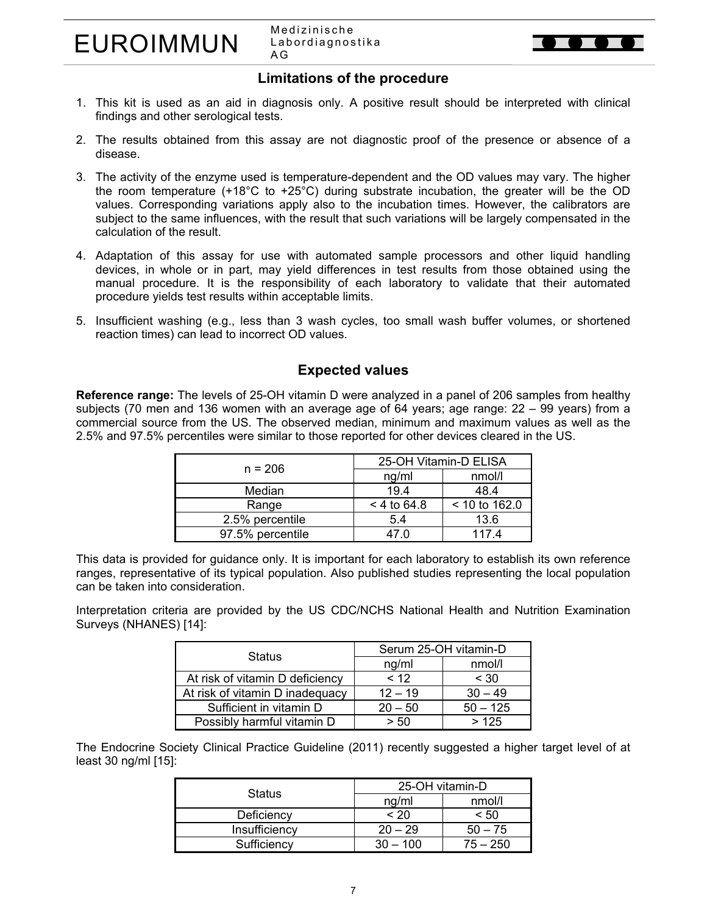

## **Limitations of the procedure**

- 1. This kit is used as an aid in diagnosis only. A positive result should be interpreted with clinical findings and other serological tests.
- 2. The results obtained from this assay are not diagnostic proof of the presence or absence of a disease.
- 3. The activity of the enzyme used is temperature-dependent and the OD values may vary. The higher the room temperature (+18°C to +25°C) during substrate incubation, the greater will be the OD values. Corresponding variations apply also to the incubation times. However, the calibrators are subject to the same influences, with the result that such variations will be largely compensated in the calculation of the result.
- 4. Adaptation of this assay for use with automated sample processors and other liquid handling devices, in whole or in part, may yield differences in test results from those obtained using the manual procedure. It is the responsibility of each laboratory to validate that their automated procedure yields test results within acceptable limits.
- 5. Insufficient washing (e.g., less than 3 wash cycles, too small wash buffer volumes, or shortened reaction times) can lead to incorrect OD values.

## **Expected values**

**Reference range:** The levels of 25-OH vitamin D were analyzed in a panel of 206 samples from healthy subjects (70 men and 136 women with an average age of 64 years; age range: 22 – 99 years) from a commercial source from the US. The observed median, minimum and maximum values as well as the 2.5% and 97.5% percentiles were similar to those reported for other devices cleared in the US.

| $n = 206$        | 25-OH Vitamin-D ELISA |               |  |
|------------------|-----------------------|---------------|--|
|                  | ng/ml                 | nmol/l        |  |
| Median           | 19.4                  | 48.4          |  |
| Range            | $< 4$ to 64.8         | < 10 to 162.0 |  |
| 2.5% percentile  | 5.4                   | 13.6          |  |
| 97.5% percentile |                       | 1174          |  |

This data is provided for guidance only. It is important for each laboratory to establish its own reference ranges, representative of its typical population. Also published studies representing the local population can be taken into consideration.

Interpretation criteria are provided by the US CDC/NCHS National Health and Nutrition Examination Surveys (NHANES) [14]:

| <b>Status</b>                   | Serum 25-OH vitamin-D |            |  |
|---------------------------------|-----------------------|------------|--|
|                                 | ng/ml                 | nmol/l     |  |
| At risk of vitamin D deficiency | < 12                  | < 30       |  |
| At risk of vitamin D inadequacy | $12 - 19$             | $30 - 49$  |  |
| Sufficient in vitamin D         | $20 - 50$             | $50 - 125$ |  |
| Possibly harmful vitamin D      | > 50                  | >125       |  |

The Endocrine Society Clinical Practice Guideline (2011) recently suggested a higher target level of at least 30 ng/ml [15]:

| <b>Status</b> | 25-OH vitamin-D |            |  |
|---------------|-----------------|------------|--|
|               | ng/ml           | nmol/l     |  |
| Deficiency    | ~120            | < 50       |  |
| Insufficiency | $20 - 29$       | $50 - 75$  |  |
| Sufficiency   | 100             | $75 - 250$ |  |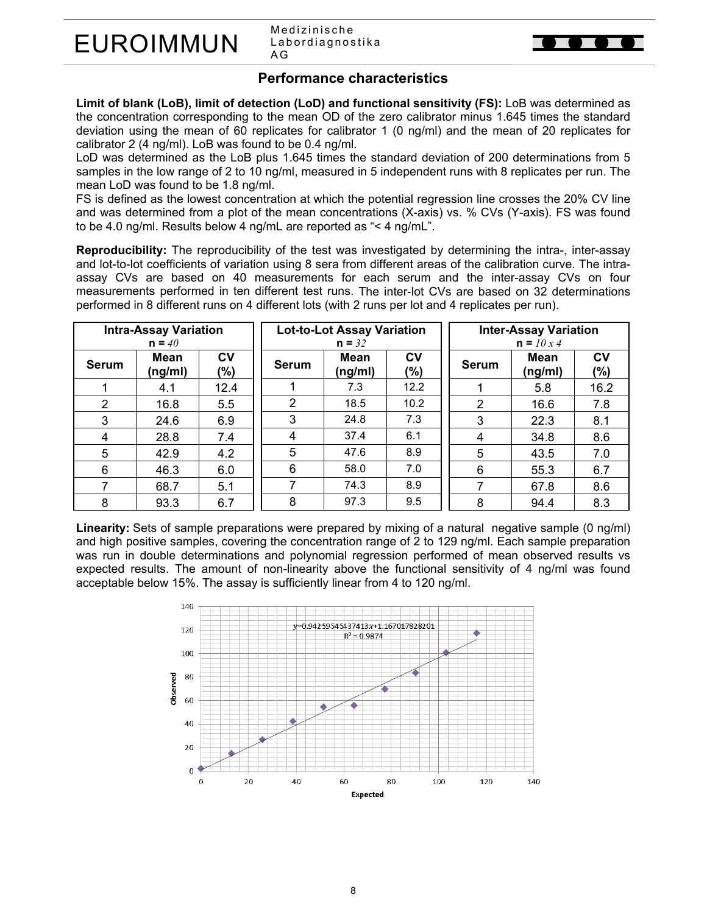Medizinische Labordiagnostika A G

## **Performance characteristics**

**Limit of blank (LoB), limit of detection (LoD) and functional sensitivity (FS):** LoB was determined as the concentration corresponding to the mean OD of the zero calibrator minus 1.645 times the standard deviation using the mean of 60 replicates for calibrator 1 (0 ng/ml) and the mean of 20 replicates for calibrator 2 (4 ng/ml). LoB was found to be 0.4 ng/ml.

LoD was determined as the LoB plus 1.645 times the standard deviation of 200 determinations from 5 samples in the low range of 2 to 10 ng/ml, measured in 5 independent runs with 8 replicates per run. The mean LoD was found to be 1.8 ng/ml.

FS is defined as the lowest concentration at which the potential regression line crosses the 20% CV line and was determined from a plot of the mean concentrations (X-axis) vs. % CVs (Y-axis). FS was found to be 4.0 ng/ml. Results below 4 ng/mL are reported as "< 4 ng/mL".

**Reproducibility:** The reproducibility of the test was investigated by determining the intra-, inter-assay and lot-to-lot coefficients of variation using 8 sera from different areas of the calibration curve. The intraassay CVs are based on 40 measurements for each serum and the inter-assay CVs on four measurements performed in ten different test runs. The inter-lot CVs are based on 32 determinations performed in 8 different runs on 4 different lots (with 2 runs per lot and 4 replicates per run).

|              | <b>Intra-Assay Variation</b><br>$n = 40$ |                  | <b>Lot-to-Lot Assay Variation</b><br>$n = 32$ |                        |                  |              | <b>Inter-Assay Variation</b><br>$n = 10x4$ |               |
|--------------|------------------------------------------|------------------|-----------------------------------------------|------------------------|------------------|--------------|--------------------------------------------|---------------|
| <b>Serum</b> | Mean<br>(ng/ml)                          | <b>CV</b><br>(%) | <b>Serum</b>                                  | <b>Mean</b><br>(ng/ml) | <b>CV</b><br>(%) | <b>Serum</b> | <b>Mean</b><br>(ng/ml)                     | CV<br>$(\% )$ |
|              | 4.1                                      | 12.4             |                                               | 7.3                    | 12.2             |              | 5.8                                        | 16.2          |
| 2            | 16.8                                     | 5.5              | 2                                             | 18.5                   | 10.2             | 2            | 16.6                                       | 7.8           |
| 3            | 24.6                                     | 6.9              | 3                                             | 24.8                   | 7.3              | 3            | 22.3                                       | 8.1           |
| 4            | 28.8                                     | 7.4              | 4                                             | 37.4                   | 6.1              | 4            | 34.8                                       | 8.6           |
| 5            | 42.9                                     | 4.2              | 5                                             | 47.6                   | 8.9              | 5            | 43.5                                       | 7.0           |
| 6            | 46.3                                     | 6.0              | 6                                             | 58.0                   | 7.0              | 6            | 55.3                                       | 6.7           |
|              | 68.7                                     | 5.1              |                                               | 74.3                   | 8.9              | 7            | 67.8                                       | 8.6           |
| 8            | 93.3                                     | 6.7              | 8                                             | 97.3                   | 9.5              | 8            | 94.4                                       | 8.3           |

**Linearity:** Sets of sample preparations were prepared by mixing of a natural negative sample (0 ng/ml) and high positive samples, covering the concentration range of 2 to 129 ng/ml. Each sample preparation was run in double determinations and polynomial regression performed of mean observed results vs expected results. The amount of non-linearity above the functional sensitivity of 4 ng/ml was found acceptable below 15%. The assay is sufficiently linear from 4 to 120 ng/ml.

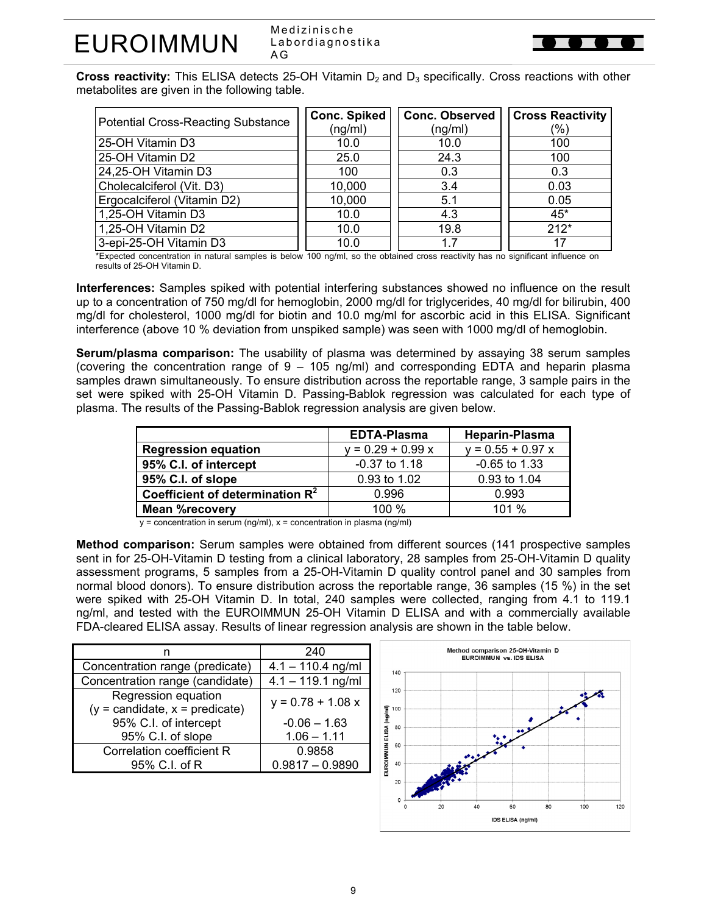Medizinische Labordiagnostika A G



**Cross reactivity:** This ELISA detects 25-OH Vitamin D<sub>2</sub> and D<sub>3</sub> specifically. Cross reactions with other metabolites are given in the following table.

| <b>Potential Cross-Reacting Substance</b> | <b>Conc. Spiked</b><br>(ng/ml) | <b>Conc. Observed</b><br>(ng/ml) | <b>Cross Reactivity</b><br>(%) |
|-------------------------------------------|--------------------------------|----------------------------------|--------------------------------|
| 25-OH Vitamin D3                          | 10.0                           | 10.0                             | 100                            |
| 25-OH Vitamin D2                          | 25.0                           | 24.3                             | 100                            |
| 24,25-OH Vitamin D3                       | 100                            | 0.3                              | 0.3                            |
| Cholecalciferol (Vit. D3)                 | 10,000                         | 3.4                              | 0.03                           |
| Ergocalciferol (Vitamin D2)               | 10,000                         | 5.1                              | 0.05                           |
| 1,25-OH Vitamin D3                        | 10.0                           | 4.3                              | $45*$                          |
| 1,25-OH Vitamin D2                        | 10.0                           | 19.8                             | $212*$                         |
| 3-epi-25-OH Vitamin D3                    | 10.0                           |                                  |                                |

\*Expected concentration in natural samples is below 100 ng/ml, so the obtained cross reactivity has no significant influence on results of 25-OH Vitamin D.

**Interferences:** Samples spiked with potential interfering substances showed no influence on the result up to a concentration of 750 mg/dl for hemoglobin, 2000 mg/dl for triglycerides, 40 mg/dl for bilirubin, 400 mg/dl for cholesterol, 1000 mg/dl for biotin and 10.0 mg/ml for ascorbic acid in this ELISA. Significant interference (above 10 % deviation from unspiked sample) was seen with 1000 mg/dl of hemoglobin.

**Serum/plasma comparison:** The usability of plasma was determined by assaying 38 serum samples (covering the concentration range of 9 – 105 ng/ml) and corresponding EDTA and heparin plasma samples drawn simultaneously. To ensure distribution across the reportable range, 3 sample pairs in the set were spiked with 25-OH Vitamin D. Passing-Bablok regression was calculated for each type of plasma. The results of the Passing-Bablok regression analysis are given below.

|                                    | <b>EDTA-Plasma</b>  | Heparin-Plasma      |
|------------------------------------|---------------------|---------------------|
| <b>Regression equation</b>         | $y = 0.29 + 0.99 x$ | $y = 0.55 + 0.97 x$ |
| 95% C.I. of intercept              | $-0.37$ to 1.18     | $-0.65$ to 1.33     |
| 95% C.I. of slope                  | 0.93 to 1.02        | 0.93 to 1.04        |
| Coefficient of determination $R^2$ | 0.996               | 0.993               |
| <b>Mean %recovery</b>              | 100 $%$             | 101%                |

 $y =$  concentration in serum (ng/ml),  $x =$  concentration in plasma (ng/ml)

**Method comparison:** Serum samples were obtained from different sources (141 prospective samples sent in for 25-OH-Vitamin D testing from a clinical laboratory, 28 samples from 25-OH-Vitamin D quality assessment programs, 5 samples from a 25-OH-Vitamin D quality control panel and 30 samples from normal blood donors). To ensure distribution across the reportable range, 36 samples (15 %) in the set were spiked with 25-OH Vitamin D. In total, 240 samples were collected, ranging from 4.1 to 119.1 ng/ml, and tested with the EUROIMMUN 25-OH Vitamin D ELISA and with a commercially available FDA-cleared ELISA assay. Results of linear regression analysis are shown in the table below.

|                                                           | 240                 |
|-----------------------------------------------------------|---------------------|
| Concentration range (predicate)                           | $4.1 - 110.4$ ng/ml |
| Concentration range (candidate)                           | $4.1 - 119.1$ ng/ml |
| Regression equation<br>$(y =$ candidate, $x =$ predicate) | $y = 0.78 + 1.08 x$ |
| 95% C.I. of intercept                                     | $-0.06 - 1.63$      |
| 95% C.I. of slope                                         | $1.06 - 1.11$       |
| <b>Correlation coefficient R</b>                          | 0.9858              |
| 95% C.I. of R                                             | $0.9817 - 0.9890$   |

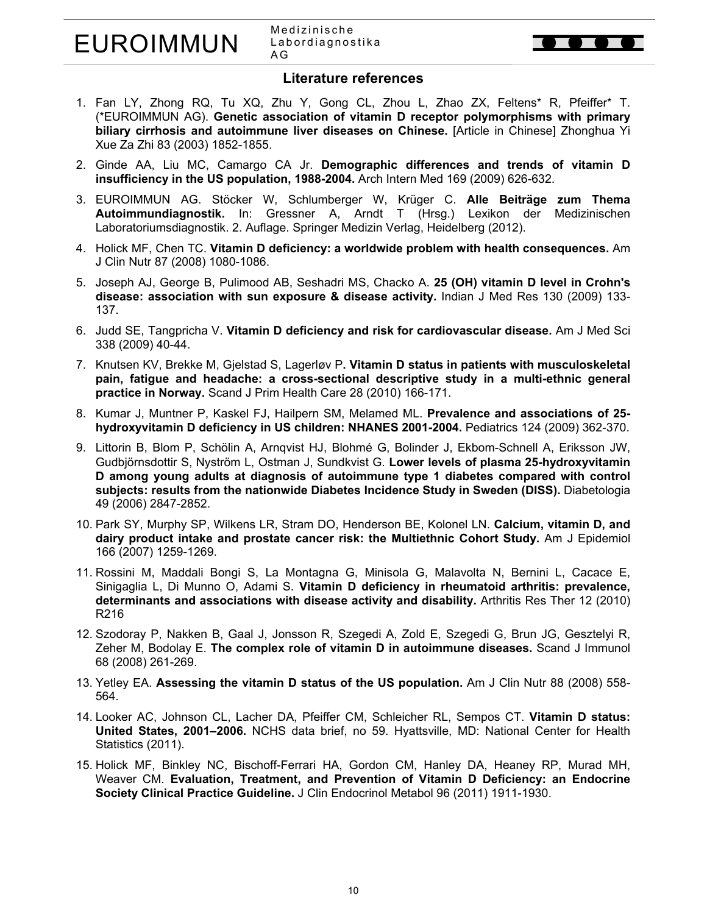### **Literature references**

- 1. Fan LY, Zhong RQ, Tu XQ, Zhu Y, Gong CL, Zhou L, Zhao ZX, Feltens\* R, Pfeiffer\* T. (\*EUROIMMUN AG). **Genetic association of vitamin D receptor polymorphisms with primary biliary cirrhosis and autoimmune liver diseases on Chinese.** [Article in Chinese] Zhonghua Yi Xue Za Zhi 83 (2003) 1852-1855.
- 2. Ginde AA, Liu MC, Camargo CA Jr. **Demographic differences and trends of vitamin D insufficiency in the US population, 1988-2004.** Arch Intern Med 169 (2009) 626-632.
- 3. EUROIMMUN AG. Stöcker W, Schlumberger W, Krüger C. **Alle Beiträge zum Thema Autoimmundiagnostik.** In: Gressner A, Arndt T (Hrsg.) Lexikon der Medizinischen Laboratoriumsdiagnostik. 2. Auflage. Springer Medizin Verlag, Heidelberg (2012).
- 4. Holick MF, Chen TC. **Vitamin D deficiency: a worldwide problem with health consequences.** Am J Clin Nutr 87 (2008) 1080-1086.
- 5. Joseph AJ, George B, Pulimood AB, Seshadri MS, Chacko A. **25 (OH) vitamin D level in Crohn's disease: association with sun exposure & disease activity.** Indian J Med Res 130 (2009) 133- 137.
- 6. Judd SE, Tangpricha V. **Vitamin D deficiency and risk for cardiovascular disease.** Am J Med Sci 338 (2009) 40-44.
- 7. Knutsen KV, Brekke M, Gjelstad S, Lagerløv P**. Vitamin D status in patients with musculoskeletal pain, fatigue and headache: a cross-sectional descriptive study in a multi-ethnic general practice in Norway.** Scand J Prim Health Care 28 (2010) 166-171.
- 8. Kumar J, Muntner P, Kaskel FJ, Hailpern SM, Melamed ML. **Prevalence and associations of 25 hydroxyvitamin D deficiency in US children: NHANES 2001-2004.** Pediatrics 124 (2009) 362-370.
- 9. Littorin B, Blom P, Schölin A, Arnqvist HJ, Blohmé G, Bolinder J, Ekbom-Schnell A, Eriksson JW, Gudbjörnsdottir S, Nyström L, Ostman J, Sundkvist G. **Lower levels of plasma 25-hydroxyvitamin D among young adults at diagnosis of autoimmune type 1 diabetes compared with control subjects: results from the nationwide Diabetes Incidence Study in Sweden (DISS).** Diabetologia 49 (2006) 2847-2852.
- 10. Park SY, Murphy SP, Wilkens LR, Stram DO, Henderson BE, Kolonel LN. **Calcium, vitamin D, and dairy product intake and prostate cancer risk: the Multiethnic Cohort Study.** Am J Epidemiol 166 (2007) 1259-1269.
- 11. Rossini M, Maddali Bongi S, La Montagna G, Minisola G, Malavolta N, Bernini L, Cacace E, Sinigaglia L, Di Munno O, Adami S. **Vitamin D deficiency in rheumatoid arthritis: prevalence, determinants and associations with disease activity and disability.** Arthritis Res Ther 12 (2010) R216
- 12. Szodoray P, Nakken B, Gaal J, Jonsson R, Szegedi A, Zold E, Szegedi G, Brun JG, Gesztelyi R, Zeher M, Bodolay E. **The complex role of vitamin D in autoimmune diseases.** Scand J Immunol 68 (2008) 261-269.
- 13. Yetley EA. **Assessing the vitamin D status of the US population.** Am J Clin Nutr 88 (2008) 558- 564.
- 14. Looker AC, Johnson CL, Lacher DA, Pfeiffer CM, Schleicher RL, Sempos CT. **Vitamin D status: United States, 2001–2006.** NCHS data brief, no 59. Hyattsville, MD: National Center for Health Statistics (2011).
- 15. Holick MF, Binkley NC, Bischoff-Ferrari HA, Gordon CM, Hanley DA, Heaney RP, Murad MH, Weaver CM. **Evaluation, Treatment, and Prevention of Vitamin D Deficiency: an Endocrine Society Clinical Practice Guideline.** J Clin Endocrinol Metabol 96 (2011) 1911-1930.